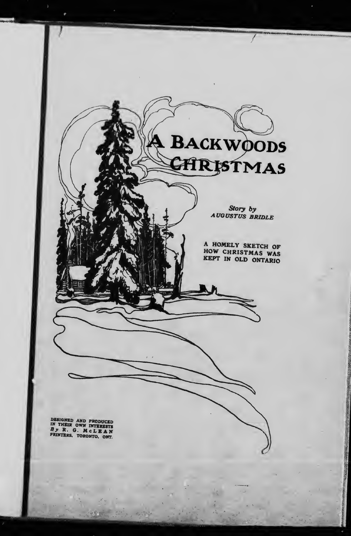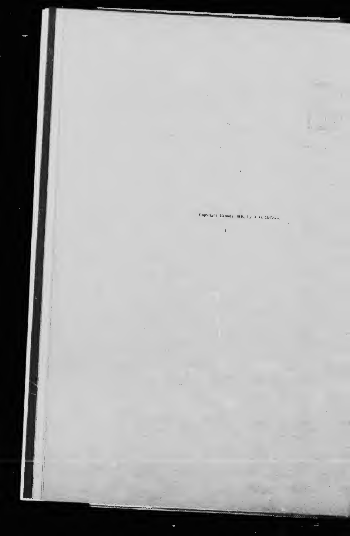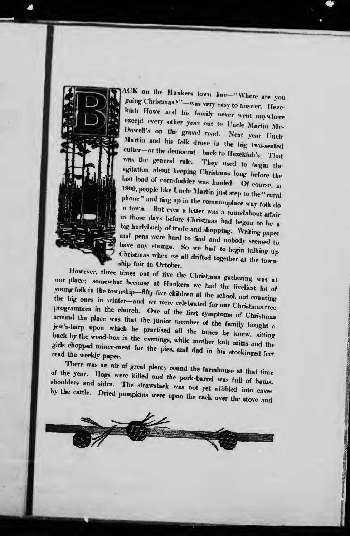

ACK on the Hunkers town line-"Where are you going Christmas?"-was very easy to answer. Hezckiah Howe and his family never went anywhere except every other year out to Uncle Martin Mc-Dowell's on the gravel road. Next year Uncle Martin and his folk drove in the big two-seated cutter-or the democrat-back to Hezekiah's. That was the general rule. They used to begin the agitation about keeping Christmas long before the last load of corn-fodder was hauled. Of course, in 1909, people like Uncle Martin just step to the "rural phone" and ring up in the commonplace way folk do 'n town. But even a letter was a roundabout affair in those days before Christmas had begun to be a big hurlyburly of trade and shopping. Writing paper and pens were hard to find and nobody seemed to have any stamps. So we had to begin talking up Christmas when we all drifted together at the township fair in October.

However, three times out of five the Christmas gathering was at our place; somewhat because at Hunkers we had the liveliest lot of young folk in the township-fifty-five children at the school, not counting the big ones in winter-and we were celebrated for our Christmas tree programmes in the church. One of the first symptoms of Christmas around the place was that the junior member of the family bought a jew's-harp upon which he practised all the tunes he knew, sitting back by the wood-box in the evenings, while mother knit mitts and the girls chopped mince-meat for the pies, and dad in his stockinged feet read the weekly paper.

There was an air of great plenty round the farmhouse at that time of the year. Hogs were killed and the pork-barrel was full of hams, shoulders and sides. The strawstack was not yet nibbled into caves by the cattle. Dried pumpkins were upon the rack over the stove and

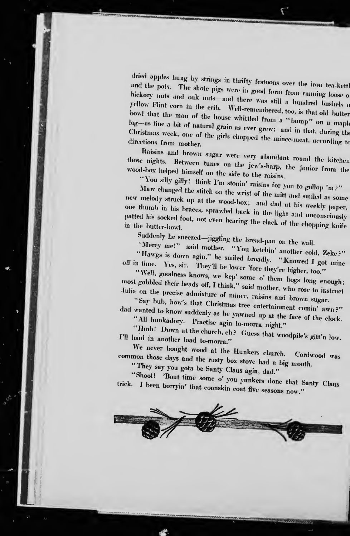dried apples hung by strings in thrifty festoons over the iron tea-kettl<br>and the pots. The shote pigs were in good for the iron tea-kettl and the pots. The shote pigs were in good form from running loose of hickory nuts and oak nuts—and there was still a hundred bushels of yellow Flint corn in the crib. Well-remembered, too, is that old butter bowl that the a hundred bushels o log-as fine a bit of natural grain as ever grew; and in that, during the Christmas week, one of the girls chopped the mince-meat. according to<br>directions from mother.<br>Raisins and brown sugar were very abundant round the kitchen

wood-box helped himself on the side to the raisins.<br>"You silly gilly! think I'm stonin' raisins for you to gollop 'm?" those nights. Between tunes on the jew's-harp, the junior from the

Maw changed the stitch on the wrist of the mitt and smiled as some<br>new melody struck up at the wood born and in I and smiled as some struck up at the wood-box; and dad at his weekly paper, one thumb in his braces, sprawled back in the light and unconscionsly patted his socked foot, not even hearing the clack of the chopping knife<br>in the butter-bowl.

Mercy me!" said mother. "You ketchin' another cold, Zeke?"<br>Hawgs is down agin" be smill 1.1 with

Ilawgs is down agin," he smiled broadly. "Knowed I got mine<br>Yes, sir. They'll be lower 'fore that'. Like off in time. where  $\overline{1}$  es, sir. They'll be lower 'fore they're higher, too."

most gobbled their heads off, I think," said mother, who rose to instruct<br>Julia on the precise admixture of mine Julia on the precise admixture of mince, raisins and brown sugar.<br>"Say bub, how's that Christmas has

"Say bub, how's that Christmas tree entertainment comin' awn?"<br>wanted to know suddenly as he roomed

All hunkadory. Practise agin to-morra night."<br>"Hinh! Down at the church, eh? Guess that woodpile's gitt'n low.<br>haul in another lood to men..." I'll haul in another load to-morra."<br>We never bought wood at the Hunkers church.

common those days and the rusty box stove had a big mouth.

"They say you gota be Santy Claus agin, dad."<br>"Shoot! "Bout time some o' you yunkers done that Santy Claus trick. I been borryin' that coonskin coat five seasons now."

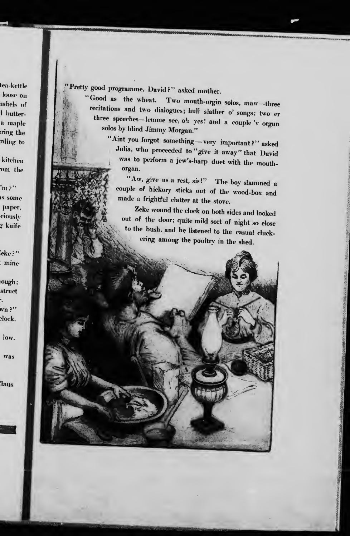tea-kettle loose on ushels of **Hutter**a maple ring the rding to

kitchen om the

 $\ln 2$ us some paper, ciously g knife

'eke ?'' mine

ough; struct  $w_n$  ?" clock.

low.

was

'laus

Pretty good programme, David?" asked mother.<br>"Good as the wheat. Two mouth-orgin

•MMMMMMMWNMM

Good as the wheat. Two mouth-orgin solos, maw-three<br>recitations and two dialogues; hull slather o' songs; two er three speeches-lemme see, oh yes! and a couple 'v orgun solos by blind Jimmy Morgan."

"Aint you forgot something -very important?" asked<br>Julia, who proceeded to "give it away" that David was to perform a jew's-harp duet with the mouthorgan.

"Aw, give us <sup>a</sup> rest, sis!" The boy slammed <sup>a</sup> couple of hickory sticks out of the wood-box and made <sup>a</sup> frightful clatter at the stove.

Zeke wound the clock on both sides and looked out of the door; quite mild sort of night so close to the bush, and he listened to the casual cluckering among the poultry in the shed.

> $\mathbf{r}$ 5;'|  $\mathbf{d}$

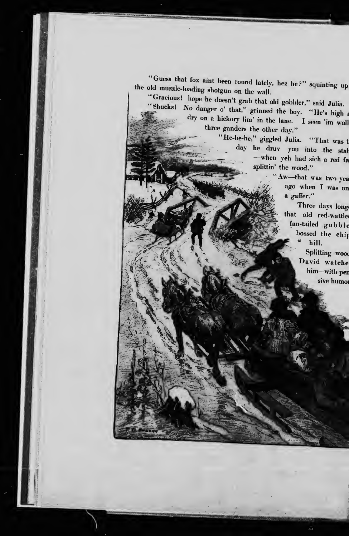the old muzzle-loading shotgun on the wall. "Guess that fox aint been round lately, hez he?" squinting up

"Gracious! hope he doesn't grab that old gobbler," said Julia.<br>"Shucks! No danger o' that," grinned the boy. "He's high a dry on a hickory lim' in the lane. I seen 'im woll "Shucks! No danger o' that." grinned the boy. "He's high a three ganders the other day."

"He-he-he," giggled Julia. "That was t day he druv you into the stal -when yeh had sich a red fa splittin' the wood."

"Aw—that was two yea<br>ago when I was on a gaffer."

Three days longe that old red-wattle fan-tailed gobble bossed the chip  $\vec{v}$ hill.

> Splitting wood David watche him-with per sive humor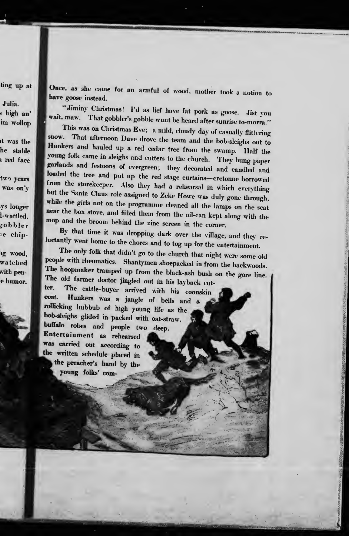ting up at

Julia. s high an' im wollop

it was the he stable n red face

two years was on'y

ys longer l-wattled, gobbler le chip-

ng wood. watched with pene humor.

Once, as she came for an armful of wood, mother took <sup>a</sup> notion to have goose instead.

IMMHM

"Jiminy Christmas! I'd as lief have fat pork as goose. Jist you wait, maw. That gobbler's gobble wunt be heard after sunrise to-morra."<br>This was on Christmas Eve; a mild, cloudy day of casually flittering

snow. That afternoon Dave drove the team and the bob-sleighs out to Hunkers and hauled up a red cedar tree from the swamp. Half the young folk came in sleighs and cutters to the church. They hung paper garlands and festoons of evergreen; they decorated and candled and loaded the tree and put up the red stage curtains-cretonne borrowed from the storekeeper. Also they had a rehearsal in which everything<br>but the Santa Claus role assigned to Zeke Howe was duly gone through,<br>while the girls not on the programme cleaned all the lamps on the scat<br>near the box

people with rheumatics. Shantymen shoepacked in from the backwoods.<br>The hoopmaker tramped up from the black-ash bush on the gore line.<br>The old farmer doctor jingled out in his layback cut-<br>ter. The cattle-buyer arrived wit ter. The cattle-buyer arrived with his coonskin Hunkers was a jangle of bells and a rollicking hubbub of high young life as the bob-sleighs glided in packed with oat-straw, buffalo robes and people two deep. Entertainment as rehearsed was carried out according to written schedule placed in the preacher's hand by the young folks' com-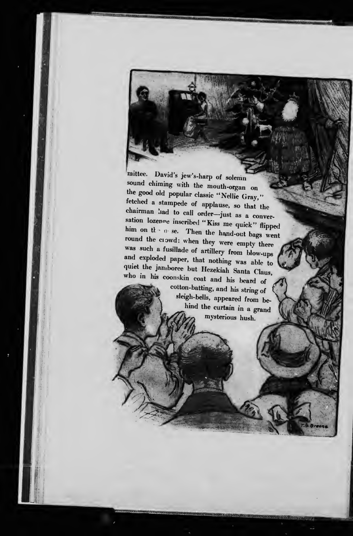mittee. David's jew's-harp of solemn sound chiming with the mouth-organ on the good old popular classic "Nellie Gray," fetched a stampede of applause, so that the chairman lad to call order-just as a conversation lozence inscribed "Kiss me quick" flipped sation lozenge inscribed "Kiss me quick" flipped<br>him on the nese. Then the hand-out bags went round the clowd: when they were empty there was such a fusillade of artillery from blow-ups and exploded paper, that nothing was able to quiet the jamboree but Hezekiah Santa Claus, who in his coonskin coat and his beard o quiet the janiboree but Hezekiah Santa Claus,

**Michael** >

 $\mathcal{A} = \mathcal{A}$ 

.- «»lZ:^\ :W>v-

**PRANCHA REAL PROPERTY** 

 $:1.1$ 

rraag and the second control of the second control of the second control of the second control of the second control of the second control of the second control of the second control of the second control of the second con

i 11-

t to be a state of the state of the state of the state of the state of the state of the state of the state of

cotton-batting, and his string of sleigh-bells, appeared from be hind the curtain in a grand mysterious hush.

 $F_{\alpha}$ 

 $\mathcal{F} = \mathcal{F} \cup \mathcal{F}$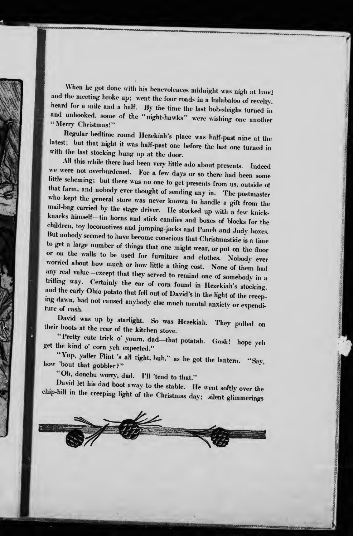When he got done with his benevolences midnight was nigh at hand and the meeting broke up; went the four roads in a hulabaloo of revelry, heard for a mile and a half. By the time the last bob-sleighs turned in and unhooked, some of the "night-hawks" were wishing one another "Merry Christmas!"

Regular bedtime round Hezekiah's place was half-past nine at the latest; but that night it was half-past one before the last one turned in with the last stocking hung up at the door.<br>All this while there had been very little ado about presents. Indeed

We were not overburdened. For a few days or so there had been some little scheming; but there was no one to get presents from us, outside of that farm, and nobody ever thought of sending any in. The postmaster who kept the general store was never known to handle a gift from the<br>mail-bag carried by the stage driver. He stocked up with a few knick-<br>knacks himself—tin horns and stick candies and boxes of blocks for the<br>children, to or on the walls to be used for furniture and clothes. Nobody ever worried about how much or how little a thing cost. None of them had any real value-except that they served to remind one of somebody in a trifling way. Certainly the ear of corn found in Hezekiah's stocking, Tl ""![ o'u''"""'^' '^' ''' °^ ^°^" ^°""^ •" «-«kiah's stocking, and the early Ohio potato that fell out of David's in the light of the creep- ing dawn, had not caused anybody else much mental anxietv or expend! ing dawn, had not caused anyhody else much mental anxiety or expenditure of cash.

David was up by starlight. So was Hezekiah. Thev pulled on their boots at the rear of the kitchen stove. .

Fretty cute trick o' yourn, dad—that potatah. (Josh! hope yeh get the kind o' corn yeh expected."

"Yup, yaller Flint 's all right, bub." as he got the lantern. "Say, how 'bout that gobbler?"

"Oh, donchu worry, dad. I'll 'tend to that."

David let his dad boot away to the stable. He went softly over the chip-hill in the creeping light of the Christmas day; silent glimmerings

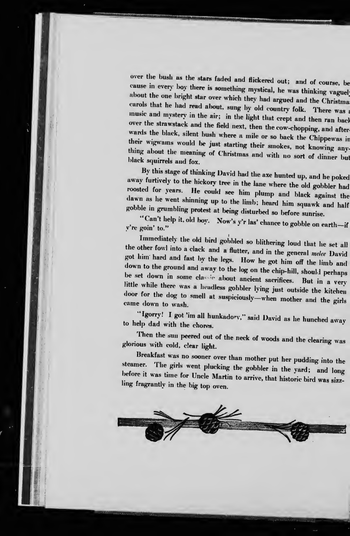over the bush as the stars faded and flickered out; and of course, be<br>cause in every boy there is something mystical, he was thinking vaguel<br>about the one bright star over which they had argued and the Christma<br>carols that wards the black, silent bush where a mile or so back the Chippewas in<br>their wigwans would be just starting their smokes, not knowing any-<br>thing about the meaning of Christmas and with no sort of dinner but<br>black squirrels

By this stage of thinking David had the axe hunted up, and he poked<br>away furtively to the hickory tree in the lane where the old gobbler had<br>roosted for years. He could see him plump and black against the<br>dawn as he went s

"Can't help it, old boy. Now's y'r las' chance to gobble on earth-if<br>y're goin' to."

the other fowl into a clack The other fowl into a clack and a flutter, and in the general melee David got him hard and fast by the legs. How he got him off the limb and down to the ground and away to the log on the chip-hill, should perhaps be set down in some classic about ancient sacrifices. But in a very little while th door for the dog to smell at suspiciously-when mother and the girls came down to wash.

"Igorry! I got 'im all hunkadory," said David as he hunched away to help dad with the chores.

Then the sun peered out of the neck of woods and the clearing was glorious with cold, clear light.

Breakfast was no sooner over than mother put her pudding into the steamer. The girls went plucking the gobbler in the yard; and long before it was time for Uncle Martin to arrive, that historic bird was sizzling fragrantly

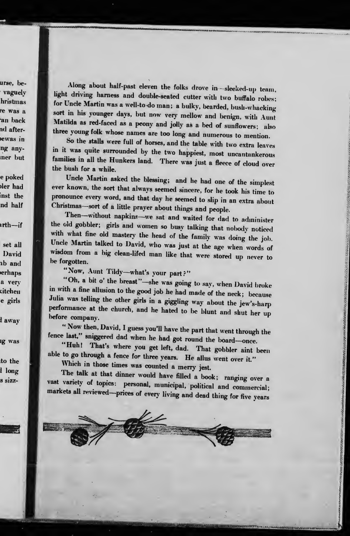urse, bevaguely hristmas re was a an back nd afterewas in ng anyner but

e poked bler had inst the nd half

ırth—if

set all David ab and erhaps a very sitchen e girls

l away

lg was

to the l long s sizz-

Along about half-past eleven the folks drove in-sleeked-up team, light driving harness and double-seated cutter with two buffalo robes; for Uncle Martin was a well-to-do man; a bulky, bearded, bush-whacking sort in his younger days, but now very mellow and benign, with Aunt Matilda as red-faced as a peony and jolly as a bed of sunflowers; also three young folk whose names are too long and numerous to mention

So the stalls were full of horses, and the table with two extra leaves in it was quite surrounded by the two happiest, most uncantankerous families in all the Hunkers land. There was just a fleece of cloud over the bush for a while.

Uncle Martin asked the blessing; and he had one of the simplest<br>ever known, the sort that always seemed sincere, for he took his time to<br>pronounce every word, and that day he seemed to slip in an extra about<br>Christmas—sort

Then-without napkins-we sat and waited for dad to administer the old gobbler; girls and women so busy talking that nobody noticed with what fine old mastery the head of the family was doing the job. Uncle Martin talked to David, who was just at the age when words of wisdom from a big clean-lifed man like that were stored up never to be forgotten.

"Now, Aunt Tildy—what's your part?"<br>"Oh, a bit o' the breast"—she was going to say, when David broke in with a fine allusion to the good job he had made of the neck; because<br>Julia was telling the other girls in a giggling way about the jew's-harp Julia was telling the other girls in a giggling way about the jew's-harp performance at the church, and he hated to be blunt and shut her up before company.

"Now then, David, I guess you'll have the part that went through the fence last," sniggered dad when he had got round the board-once.

"Huh! That's where you get left, dad. That gobbler aint been able to go through a fence for three years. He allus went over it." Which in those times was counted a merry jest.

The talk at that dinner would have filled a book; ranging over a vast variety of topics: personal, municipal, political and commercial; markets all reviewed-prices of every living and dead thing for five years